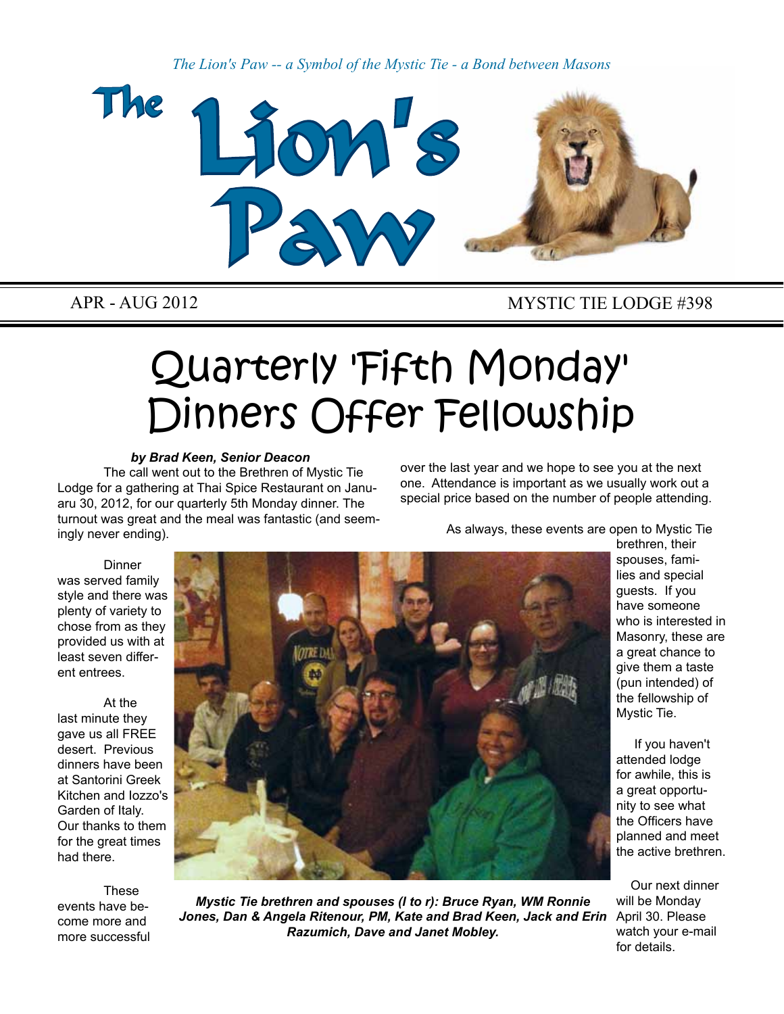*The Lion's Paw -- a Symbol of the Mystic Tie - a Bond between Masons*



#### APR - AUG 2012 MYSTIC TIE LODGE #398

# Quarterly 'Fifth Monday' Dinners Offer Fellowship

#### *by Brad Keen, Senior Deacon*

The call went out to the Brethren of Mystic Tie Lodge for a gathering at Thai Spice Restaurant on Januaru 30, 2012, for our quarterly 5th Monday dinner. The turnout was great and the meal was fantastic (and seemingly never ending).

over the last year and we hope to see you at the next one. Attendance is important as we usually work out a special price based on the number of people attending.

As always, these events are open to Mystic Tie

**Dinner** was served family style and there was plenty of variety to chose from as they provided us with at least seven different entrees.

At the last minute they gave us all FREE desert. Previous dinners have been at Santorini Greek Kitchen and Iozzo's Garden of Italy. Our thanks to them for the great times had there.

**These** events have become more and more successful



*Mystic Tie brethren and spouses (l to r): Bruce Ryan, WM Ronnie Jones, Dan & Angela Ritenour, PM, Kate and Brad Keen, Jack and Erin Razumich, Dave and Janet Mobley.*

brethren, their spouses, families and special guests. If you have someone who is interested in Masonry, these are a great chance to give them a taste (pun intended) of the fellowship of Mystic Tie.

 If you haven't attended lodge for awhile, this is a great opportunity to see what the Officers have planned and meet the active brethren.

Our next dinner will be Monday April 30. Please watch your e-mail for details.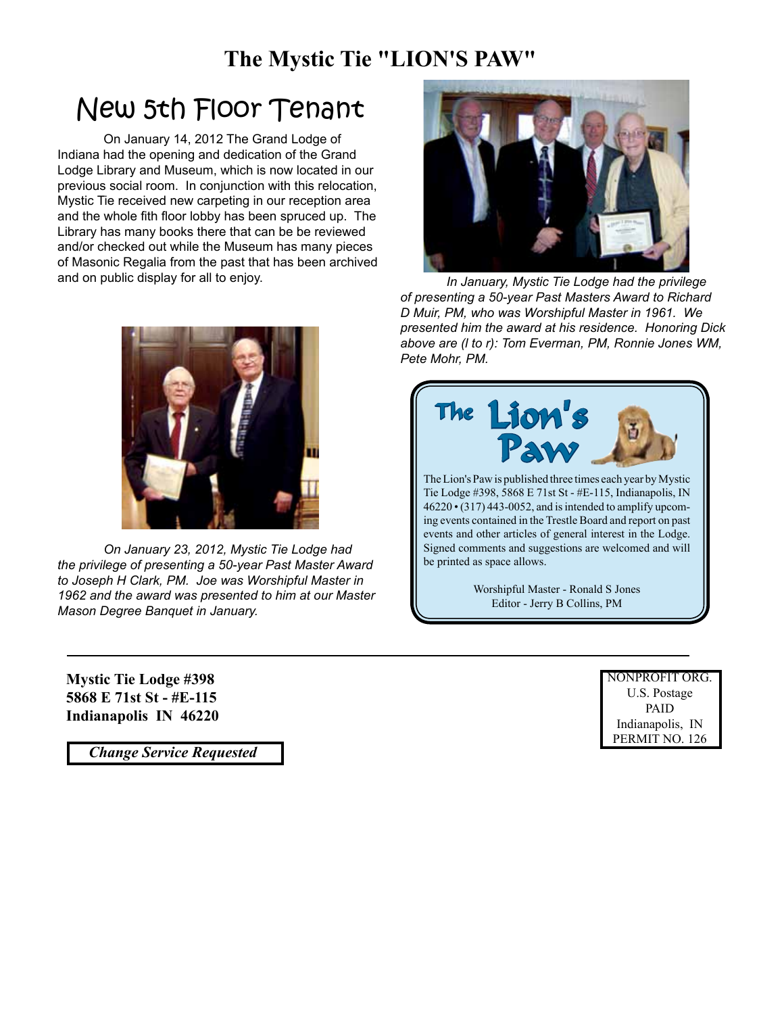### **The Mystic Tie "LION'S PAW"**

### New 5th Floor Tenant

On January 14, 2012 The Grand Lodge of Indiana had the opening and dedication of the Grand Lodge Library and Museum, which is now located in our previous social room. In conjunction with this relocation, Mystic Tie received new carpeting in our reception area and the whole fith floor lobby has been spruced up. The Library has many books there that can be be reviewed and/or checked out while the Museum has many pieces of Masonic Regalia from the past that has been archived and on public display for all to enjoy.



*On January 23, 2012, Mystic Tie Lodge had the privilege of presenting a 50-year Past Master Award to Joseph H Clark, PM. Joe was Worshipful Master in 1962 and the award was presented to him at our Master Mason Degree Banquet in January.*

*In January, Mystic Tie Lodge had the privilege of presenting a 50-year Past Masters Award to Richard D Muir, PM, who was Worshipful Master in 1961. We presented him the award at his residence. Honoring Dick above are (l to r): Tom Everman, PM, Ronnie Jones WM, Pete Mohr, PM.*



**Mystic Tie Lodge #398 5868 E 71st St - #E-115 Indianapolis IN 46220**

 *Change Service Requested*

NONPROFIT ORG. U.S. Postage PAID Indianapolis, IN PERMIT NO. 126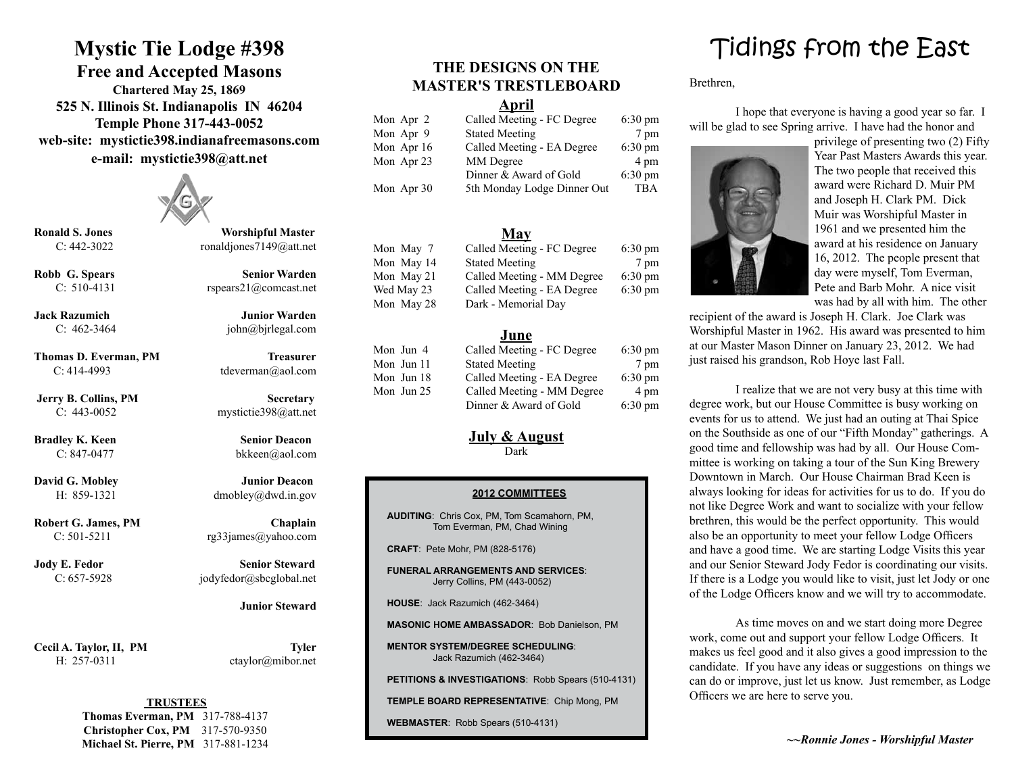### **Mystic Tie Lodge #398**

**Free and Accepted Masons**

**Chartered May 25, 1869 525 N. Illinois St. Indianapolis IN 46204 Temple Phone 317-443-0052 web-site: mystictie398.indianafreemasons.com e-mail: mystictie398@att.net**



**Ronald S. Jones Worshipful Master** C: 442-3022 ronaldjones7149@att.net

**Robb G. Spears Senior Warden** C: 510-4131 rspears21@comcast.net

**Jack Razumich Junior Warden** C:  $462-3464$  john@bjrlegal.com

**Thomas D. Everman, PM Treasurer** C: 414-4993 tdeverman@aol.com

**Jerry B. Collins, PM Secretary** C: 443-0052 mystictie398@att.net

**Bradley K. Keen Senior Deacon** C: 847-0477 bkkeen@aol.com

**David G. Mobley Junior Deacon** H: 859-1321 dmobley@dwd.in.gov

**Robert G. James, PM Chaplain** C:  $501-5211$  rg33james@yahoo.com

**Jody E. Fedor Senior Steward** C: 657-5928 jodyfedor@sbcglobal.net

Cecil A. Taylor, II, PM Tyler H: 257-0311 ctaylor@mibor.net

 **Junior Steward**

#### **TRUSTEES**

**Thomas Everman, PM** 317-788-4137 **Christopher Cox, PM** 317-570-9350 **Michael St. Pierre, PM** 317-881-1234

### **THE DESIGNS ON THE MASTER'S TRESTLEBOARD**

#### **April**

| Mon Apr 2  | Called Meeting - FC Degree  | $6:30 \text{ pm}$ |
|------------|-----------------------------|-------------------|
| Mon Apr 9  | <b>Stated Meeting</b>       | 7 pm              |
| Mon Apr 16 | Called Meeting - EA Degree  | $6:30 \text{ pm}$ |
| Mon Apr 23 | MM Degree                   | 4 pm              |
|            | Dinner & Award of Gold      | $6:30 \text{ pm}$ |
| Mon Apr 30 | 5th Monday Lodge Dinner Out | TBA               |

#### **May**

| Mon May 7  | Called Meeting - FC Degree | $6:30 \text{ pm}$ |
|------------|----------------------------|-------------------|
| Mon May 14 | <b>Stated Meeting</b>      | 7 pm              |
| Mon May 21 | Called Meeting - MM Degree | $6:30 \text{ pm}$ |
| Wed May 23 | Called Meeting - EA Degree | $6:30 \text{ pm}$ |
| Mon May 28 | Dark - Memorial Day        |                   |

#### **June**

| Mon Jun 4  | Called Meeting - FC Degree | $6:30 \text{ pm}$ |
|------------|----------------------------|-------------------|
| Mon Jun 11 | <b>Stated Meeting</b>      | 7 pm              |
| Mon Jun 18 | Called Meeting - EA Degree | $6:30 \text{ pm}$ |
| Mon Jun 25 | Called Meeting - MM Degree | 4 pm              |
|            | Dinner & Award of Gold     | $6:30 \text{ pm}$ |

#### **July & August**

Dark

#### **2012 COMMITTEES**

**AUDITING**: Chris Cox, PM, Tom Scamahorn, PM, Tom Everman, PM, Chad Wining

**CRAFT**: Pete Mohr, PM (828-5176)

**FUNERAL ARRANGEMENTS AND SERVICES**: Jerry Collins, PM (443-0052)

**HOUSE**: Jack Razumich (462-3464)

**MASONIC HOME AMBASSADOR**: Bob Danielson, PM

**MENTOR SYSTEM/DEGREE SCHEDULING**: Jack Razumich (462-3464)

**PETITIONS & INVESTIGATIONS**: Robb Spears (510-4131)

**TEMPLE BOARD REPRESENTATIVE**: Chip Mong, PM

**WEBMASTER**: Robb Spears (510-4131)

## Tidings from the East

Brethren,

I hope that everyone is having a good year so far. I will be glad to see Spring arrive. I have had the honor and



privilege of presenting two (2) Fifty Year Past Masters Awards this year. The two people that received this award were Richard D. Muir PM and Joseph H. Clark PM. Dick Muir was Worshipful Master in 1961 and we presented him the award at his residence on January 16, 2012. The people present that day were myself, Tom Everman, Pete and Barb Mohr. A nice visit was had by all with him. The other

recipient of the award is Joseph H. Clark. Joe Clark was Worshipful Master in 1962. His award was presented to him at our Master Mason Dinner on January 23, 2012. We had just raised his grandson, Rob Hoye last Fall.

I realize that we are not very busy at this time with degree work, but our House Committee is busy working on events for us to attend. We just had an outing at Thai Spice on the Southside as one of our "Fifth Monday" gatherings. A good time and fellowship was had by all. Our House Committee is working on taking a tour of the Sun King Brewery Downtown in March. Our House Chairman Brad Keen is always looking for ideas for activities for us to do. If you do not like Degree Work and want to socialize with your fellow brethren, this would be the perfect opportunity. This would also be an opportunity to meet your fellow Lodge Officers and have a good time. We are starting Lodge Visits this year and our Senior Steward Jody Fedor is coordinating our visits. If there is a Lodge you would like to visit, just let Jody or one of the Lodge Officers know and we will try to accommodate.

As time moves on and we start doing more Degree work, come out and support your fellow Lodge Officers. It makes us feel good and it also gives a good impression to the candidate. If you have any ideas or suggestions on things we can do or improve, just let us know. Just remember, as Lodge Officers we are here to serve you.

 *~~Ronnie Jones - Worshipful Master*